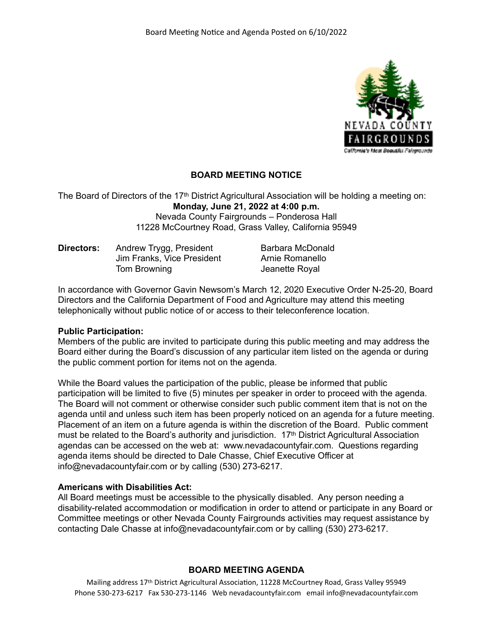

# **BOARD MEETING NOTICE**

The Board of Directors of the 17th District Agricultural Association will be holding a meeting on: **Monday, June 21, 2022 at 4:00 p.m.** Nevada County Fairgrounds – Ponderosa Hall 11228 McCourtney Road, Grass Valley, California 95949

**Directors:** Andrew Trygg, President Barbara McDonald Jim Franks, Vice President Arnie Romanello Tom Browning **Internal Secure 2** Jeanette Royal

In accordance with Governor Gavin Newsom's March 12, 2020 Executive Order N-25-20, Board Directors and the California Department of Food and Agriculture may attend this meeting telephonically without public notice of or access to their teleconference location.

### **Public Participation:**

Members of the public are invited to participate during this public meeting and may address the Board either during the Board's discussion of any particular item listed on the agenda or during the public comment portion for items not on the agenda.

While the Board values the participation of the public, please be informed that public participation will be limited to five (5) minutes per speaker in order to proceed with the agenda. The Board will not comment or otherwise consider such public comment item that is not on the agenda until and unless such item has been properly noticed on an agenda for a future meeting. Placement of an item on a future agenda is within the discretion of the Board. Public comment must be related to the Board's authority and jurisdiction. 17th District Agricultural Association agendas can be accessed on the web at: www.nevadacountyfair.com. Questions regarding agenda items should be directed to Dale Chasse, Chief Executive Officer at info@nevadacountyfair.com or by calling (530) 273-6217.

### **Americans with Disabilities Act:**

All Board meetings must be accessible to the physically disabled. Any person needing a disability-related accommodation or modification in order to attend or participate in any Board or Committee meetings or other Nevada County Fairgrounds activities may request assistance by contacting Dale Chasse at info@nevadacountyfair.com or by calling (530) 273-6217.

### **BOARD MEETING AGENDA**

Mailing address 17th District Agricultural Association, 11228 McCourtney Road, Grass Valley 95949 Phone 530-273-6217 Fax 530-273-1146 Web nevadacountyfair.com email info@nevadacountyfair.com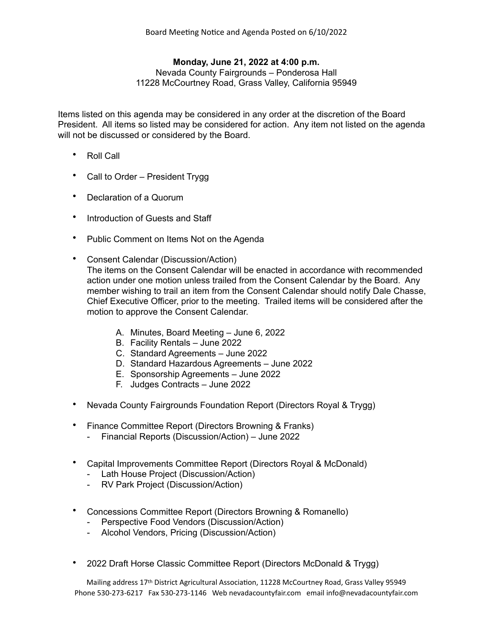## **Monday, June 21, 2022 at 4:00 p.m.**

Nevada County Fairgrounds – Ponderosa Hall 11228 McCourtney Road, Grass Valley, California 95949

Items listed on this agenda may be considered in any order at the discretion of the Board President. All items so listed may be considered for action. Any item not listed on the agenda will not be discussed or considered by the Board.

- Roll Call
- Call to Order President Trygg
- Declaration of a Quorum
- Introduction of Guests and Staff
- Public Comment on Items Not on the Agenda
- Consent Calendar (Discussion/Action) The items on the Consent Calendar will be enacted in accordance with recommended action under one motion unless trailed from the Consent Calendar by the Board. Any member wishing to trail an item from the Consent Calendar should notify Dale Chasse, Chief Executive Officer, prior to the meeting. Trailed items will be considered after the motion to approve the Consent Calendar.
	- A. Minutes, Board Meeting June 6, 2022
	- B. Facility Rentals June 2022
	- C. Standard Agreements June 2022
	- D. Standard Hazardous Agreements June 2022
	- E. Sponsorship Agreements June 2022
	- F. Judges Contracts June 2022
- Nevada County Fairgrounds Foundation Report (Directors Royal & Trygg)
- Finance Committee Report (Directors Browning & Franks)
	- Financial Reports (Discussion/Action) June 2022
- Capital Improvements Committee Report (Directors Royal & McDonald)
	- Lath House Project (Discussion/Action)
	- RV Park Project (Discussion/Action)
- Concessions Committee Report (Directors Browning & Romanello)
	- Perspective Food Vendors (Discussion/Action)
	- Alcohol Vendors, Pricing (Discussion/Action)
- 2022 Draft Horse Classic Committee Report (Directors McDonald & Trygg)

Mailing address 17th District Agricultural Association, 11228 McCourtney Road, Grass Valley 95949 Phone 530-273-6217 Fax 530-273-1146 Web nevadacountyfair.com email info@nevadacountyfair.com